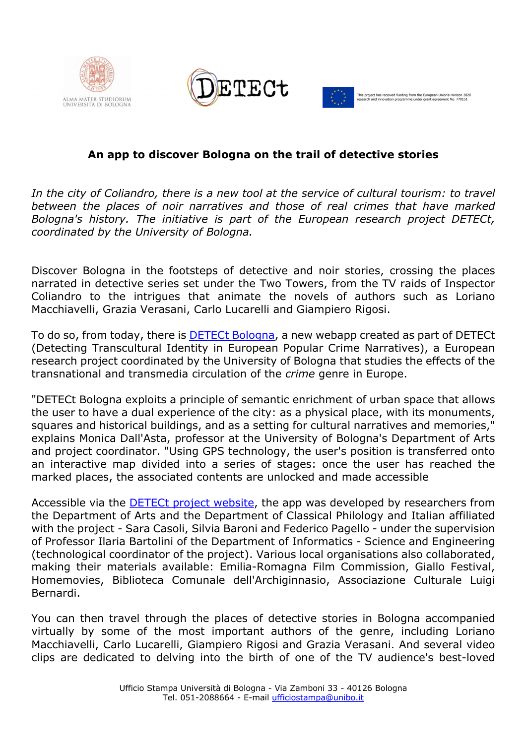





## **An app to discover Bologna on the trail of detective stories**

In the city of Coliandro, there is a new tool at the service of cultural tourism: to travel *between the places of noir narratives and those of real crimes that have marked Bologna's history. The initiative is part of the European research project DETECt, coordinated by the University of Bologna.*

Discover Bologna in the footsteps of detective and noir stories, crossing the places narrated in detective series set under the Two Towers, from the TV raids of Inspector Coliandro to the intrigues that animate the novels of authors such as Loriano Macchiavelli, Grazia Verasani, Carlo Lucarelli and Giampiero Rigosi.

To do so, from today, there is **DETECt Bologna**, a new webapp created as part of DETECt (Detecting Transcultural Identity in European Popular Crime Narratives), a European research project coordinated by the University of Bologna that studies the effects of the transnational and transmedia circulation of the *crime* genre in Europe.

"DETECt Bologna exploits a principle of semantic enrichment of urban space that allows the user to have a dual experience of the city: as a physical place, with its monuments, squares and historical buildings, and as a setting for cultural narratives and memories," explains Monica Dall'Asta, professor at the University of Bologna's Department of Arts and project coordinator. "Using GPS technology, the user's position is transferred onto an interactive map divided into a series of stages: once the user has reached the marked places, the associated contents are unlocked and made accessible

Accessible via the DETECt project website, the app was developed by researchers from the Department of Arts and the Department of Classical Philology and Italian affiliated with the project - Sara Casoli, Silvia Baroni and Federico Pagello - under the supervision of Professor Ilaria Bartolini of the Department of Informatics - Science and Engineering (technological coordinator of the project). Various local organisations also collaborated, making their materials available: Emilia-Romagna Film Commission, Giallo Festival, Homemovies, Biblioteca Comunale dell'Archiginnasio, Associazione Culturale Luigi Bernardi.

You can then travel through the places of detective stories in Bologna accompanied virtually by some of the most important authors of the genre, including Loriano Macchiavelli, Carlo Lucarelli, Giampiero Rigosi and Grazia Verasani. And several video clips are dedicated to delving into the birth of one of the TV audience's best-loved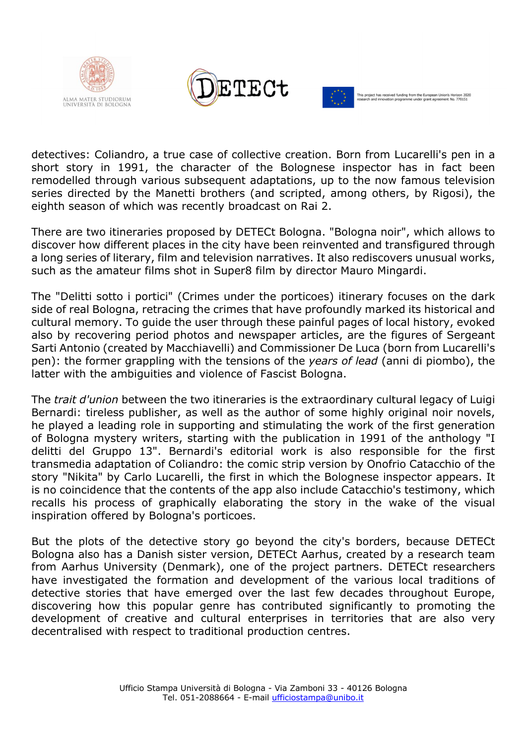





detectives: Coliandro, a true case of collective creation. Born from Lucarelli's pen in a short story in 1991, the character of the Bolognese inspector has in fact been remodelled through various subsequent adaptations, up to the now famous television series directed by the Manetti brothers (and scripted, among others, by Rigosi), the eighth season of which was recently broadcast on Rai 2.

There are two itineraries proposed by DETECt Bologna. "Bologna noir", which allows to discover how different places in the city have been reinvented and transfigured through a long series of literary, film and television narratives. It also rediscovers unusual works, such as the amateur films shot in Super8 film by director Mauro Mingardi.

The "Delitti sotto i portici" (Crimes under the porticoes) itinerary focuses on the dark side of real Bologna, retracing the crimes that have profoundly marked its historical and cultural memory. To guide the user through these painful pages of local history, evoked also by recovering period photos and newspaper articles, are the figures of Sergeant Sarti Antonio (created by Macchiavelli) and Commissioner De Luca (born from Lucarelli's pen): the former grappling with the tensions of the *years of lead* (anni di piombo), the latter with the ambiguities and violence of Fascist Bologna.

The *trait d'union* between the two itineraries is the extraordinary cultural legacy of Luigi Bernardi: tireless publisher, as well as the author of some highly original noir novels, he played a leading role in supporting and stimulating the work of the first generation of Bologna mystery writers, starting with the publication in 1991 of the anthology "I delitti del Gruppo 13". Bernardi's editorial work is also responsible for the first transmedia adaptation of Coliandro: the comic strip version by Onofrio Catacchio of the story "Nikita" by Carlo Lucarelli, the first in which the Bolognese inspector appears. It is no coincidence that the contents of the app also include Catacchio's testimony, which recalls his process of graphically elaborating the story in the wake of the visual inspiration offered by Bologna's porticoes.

But the plots of the detective story go beyond the city's borders, because DETECt Bologna also has a Danish sister version, DETECt Aarhus, created by a research team from Aarhus University (Denmark), one of the project partners. DETECt researchers have investigated the formation and development of the various local traditions of detective stories that have emerged over the last few decades throughout Europe, discovering how this popular genre has contributed significantly to promoting the development of creative and cultural enterprises in territories that are also very decentralised with respect to traditional production centres.